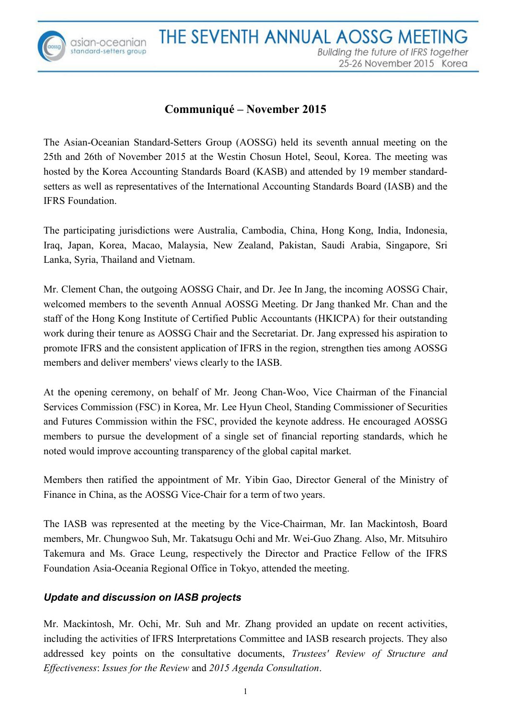

asian-oceanian<br>standard-setters group

# **Communiqué – November 2015**

The Asian-Oceanian Standard-Setters Group (AOSSG) held its seventh annual meeting on the 25th and 26th of November 2015 at the Westin Chosun Hotel, Seoul, Korea. The meeting was hosted by the Korea Accounting Standards Board (KASB) and attended by 19 member standardsetters as well as representatives of the International Accounting Standards Board (IASB) and the IFRS Foundation.

The participating jurisdictions were Australia, Cambodia, China, Hong Kong, India, Indonesia, Iraq, Japan, Korea, Macao, Malaysia, New Zealand, Pakistan, Saudi Arabia, Singapore, Sri Lanka, Syria, Thailand and Vietnam.

Mr. Clement Chan, the outgoing AOSSG Chair, and Dr. Jee In Jang, the incoming AOSSG Chair, welcomed members to the seventh Annual AOSSG Meeting. Dr Jang thanked Mr. Chan and the staff of the Hong Kong Institute of Certified Public Accountants (HKICPA) for their outstanding work during their tenure as AOSSG Chair and the Secretariat. Dr. Jang expressed his aspiration to promote IFRS and the consistent application of IFRS in the region, strengthen ties among AOSSG members and deliver members' views clearly to the IASB.

At the opening ceremony, on behalf of Mr. Jeong Chan-Woo, Vice Chairman of the Financial Services Commission (FSC) in Korea, Mr. Lee Hyun Cheol, Standing Commissioner of Securities and Futures Commission within the FSC, provided the keynote address. He encouraged AOSSG members to pursue the development of a single set of financial reporting standards, which he noted would improve accounting transparency of the global capital market.

Members then ratified the appointment of Mr. Yibin Gao, Director General of the Ministry of Finance in China, as the AOSSG Vice-Chair for a term of two years.

The IASB was represented at the meeting by the Vice-Chairman, Mr. Ian Mackintosh, Board members, Mr. Chungwoo Suh, Mr. Takatsugu Ochi and Mr. Wei-Guo Zhang. Also, Mr. Mitsuhiro Takemura and Ms. Grace Leung, respectively the Director and Practice Fellow of the IFRS Foundation Asia-Oceania Regional Office in Tokyo, attended the meeting.

## *Update and discussion on IASB projects*

Mr. Mackintosh, Mr. Ochi, Mr. Suh and Mr. Zhang provided an update on recent activities, including the activities of IFRS Interpretations Committee and IASB research projects. They also addressed key points on the consultative documents, *Trustees' Review of Structure and Effectiveness*: *Issues for the Review* and *2015 Agenda Consultation*.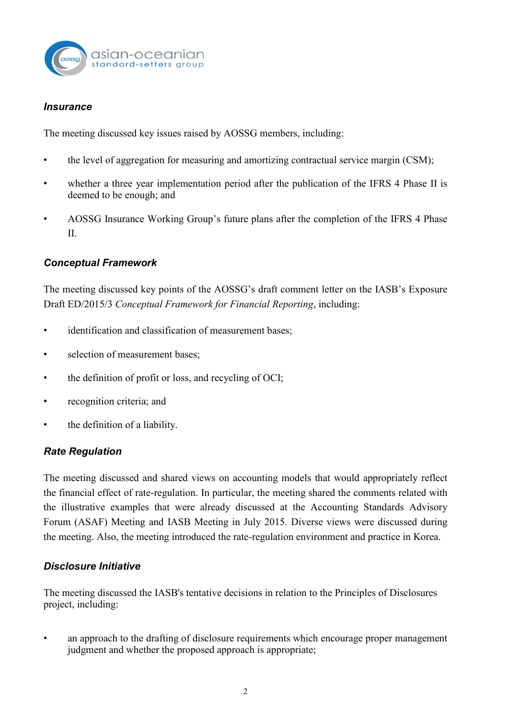

#### *Insurance*

The meeting discussed key issues raised by AOSSG members, including:

- the level of aggregation for measuring and amortizing contractual service margin (CSM);
- whether a three year implementation period after the publication of the IFRS 4 Phase II is deemed to be enough; and
- AOSSG Insurance Working Group's future plans after the completion of the IFRS 4 Phase II.

### *Conceptual Framework*

The meeting discussed key points of the AOSSG's draft comment letter on the IASB's Exposure Draft ED/2015/3 *Conceptual Framework for Financial Reporting*, including:

- identification and classification of measurement bases;
- selection of measurement bases;
- the definition of profit or loss, and recycling of OCI;
- recognition criteria; and
- the definition of a liability.

## *Rate Regulation*

The meeting discussed and shared views on accounting models that would appropriately reflect the financial effect of rate-regulation. In particular, the meeting shared the comments related with the illustrative examples that were already discussed at the Accounting Standards Advisory Forum (ASAF) Meeting and IASB Meeting in July 2015. Diverse views were discussed during the meeting. Also, the meeting introduced the rate-regulation environment and practice in Korea.

## *Disclosure Initiative*

The meeting discussed the IASB's tentative decisions in relation to the Principles of Disclosures project, including:

• an approach to the drafting of disclosure requirements which encourage proper management judgment and whether the proposed approach is appropriate;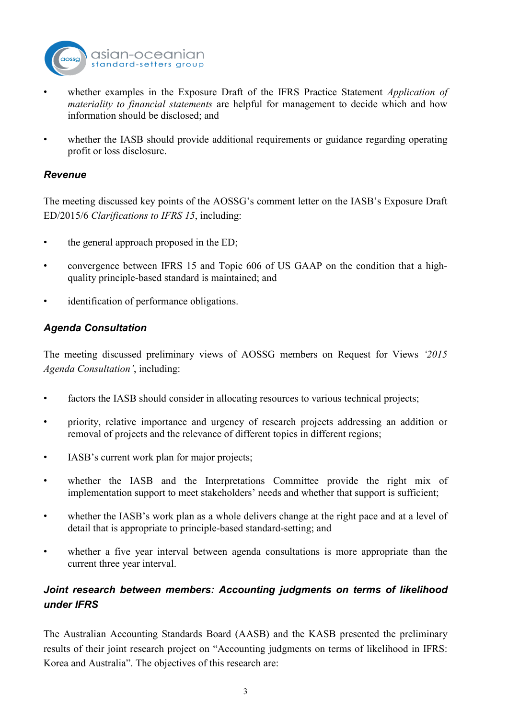

- whether examples in the Exposure Draft of the IFRS Practice Statement *Application of materiality to financial statements* are helpful for management to decide which and how information should be disclosed; and
- whether the IASB should provide additional requirements or guidance regarding operating profit or loss disclosure.

### *Revenue*

The meeting discussed key points of the AOSSG's comment letter on the IASB's Exposure Draft ED/2015/6 *Clarifications to IFRS 15*, including:

- the general approach proposed in the ED;
- convergence between IFRS 15 and Topic 606 of US GAAP on the condition that a highquality principle-based standard is maintained; and
- identification of performance obligations.

## *Agenda Consultation*

The meeting discussed preliminary views of AOSSG members on Request for Views *'2015 Agenda Consultation'*, including:

- factors the IASB should consider in allocating resources to various technical projects;
- priority, relative importance and urgency of research projects addressing an addition or removal of projects and the relevance of different topics in different regions;
- IASB's current work plan for major projects;
- whether the IASB and the Interpretations Committee provide the right mix of implementation support to meet stakeholders' needs and whether that support is sufficient;
- whether the IASB's work plan as a whole delivers change at the right pace and at a level of detail that is appropriate to principle-based standard-setting; and
- whether a five year interval between agenda consultations is more appropriate than the current three year interval.

## *Joint research between members: Accounting judgments on terms of likelihood under IFRS*

The Australian Accounting Standards Board (AASB) and the KASB presented the preliminary results of their joint research project on "Accounting judgments on terms of likelihood in IFRS: Korea and Australia". The objectives of this research are: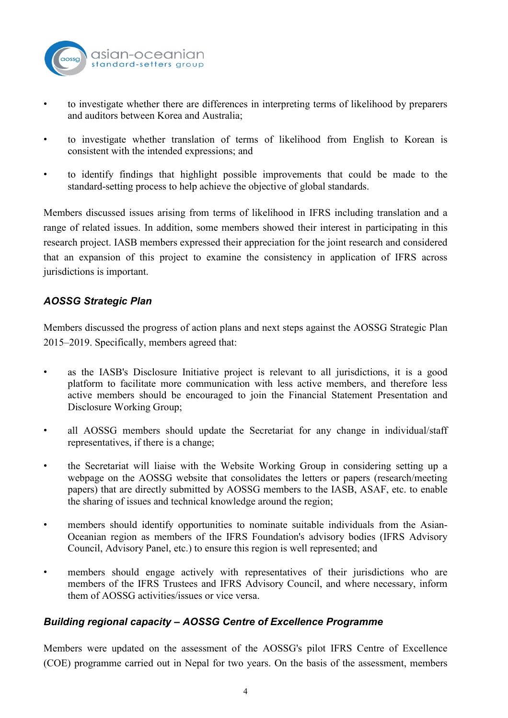

- to investigate whether there are differences in interpreting terms of likelihood by preparers and auditors between Korea and Australia;
- to investigate whether translation of terms of likelihood from English to Korean is consistent with the intended expressions; and
- to identify findings that highlight possible improvements that could be made to the standard-setting process to help achieve the objective of global standards.

Members discussed issues arising from terms of likelihood in IFRS including translation and a range of related issues. In addition, some members showed their interest in participating in this research project. IASB members expressed their appreciation for the joint research and considered that an expansion of this project to examine the consistency in application of IFRS across jurisdictions is important.

### *AOSSG Strategic Plan*

Members discussed the progress of action plans and next steps against the AOSSG Strategic Plan 2015–2019. Specifically, members agreed that:

- as the IASB's Disclosure Initiative project is relevant to all jurisdictions, it is a good platform to facilitate more communication with less active members, and therefore less active members should be encouraged to join the Financial Statement Presentation and Disclosure Working Group;
- all AOSSG members should update the Secretariat for any change in individual/staff representatives, if there is a change;
- the Secretariat will liaise with the Website Working Group in considering setting up a webpage on the AOSSG website that consolidates the letters or papers (research/meeting papers) that are directly submitted by AOSSG members to the IASB, ASAF, etc. to enable the sharing of issues and technical knowledge around the region;
- members should identify opportunities to nominate suitable individuals from the Asian-Oceanian region as members of the IFRS Foundation's advisory bodies (IFRS Advisory Council, Advisory Panel, etc.) to ensure this region is well represented; and
- members should engage actively with representatives of their jurisdictions who are members of the IFRS Trustees and IFRS Advisory Council, and where necessary, inform them of AOSSG activities/issues or vice versa.

#### *Building regional capacity – AOSSG Centre of Excellence Programme*

Members were updated on the assessment of the AOSSG's pilot IFRS Centre of Excellence (COE) programme carried out in Nepal for two years. On the basis of the assessment, members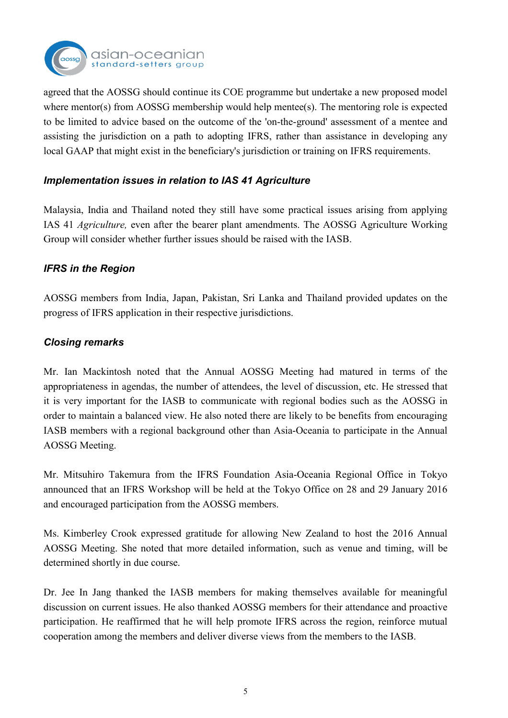

agreed that the AOSSG should continue its COE programme but undertake a new proposed model where mentor(s) from AOSSG membership would help mentee(s). The mentoring role is expected to be limited to advice based on the outcome of the 'on-the-ground' assessment of a mentee and assisting the jurisdiction on a path to adopting IFRS, rather than assistance in developing any local GAAP that might exist in the beneficiary's jurisdiction or training on IFRS requirements.

## *Implementation issues in relation to IAS 41 Agriculture*

Malaysia, India and Thailand noted they still have some practical issues arising from applying IAS 41 *Agriculture,* even after the bearer plant amendments. The AOSSG Agriculture Working Group will consider whether further issues should be raised with the IASB.

## *IFRS in the Region*

AOSSG members from India, Japan, Pakistan, Sri Lanka and Thailand provided updates on the progress of IFRS application in their respective jurisdictions.

## *Closing remarks*

Mr. Ian Mackintosh noted that the Annual AOSSG Meeting had matured in terms of the appropriateness in agendas, the number of attendees, the level of discussion, etc. He stressed that it is very important for the IASB to communicate with regional bodies such as the AOSSG in order to maintain a balanced view. He also noted there are likely to be benefits from encouraging IASB members with a regional background other than Asia-Oceania to participate in the Annual AOSSG Meeting.

Mr. Mitsuhiro Takemura from the IFRS Foundation Asia-Oceania Regional Office in Tokyo announced that an IFRS Workshop will be held at the Tokyo Office on 28 and 29 January 2016 and encouraged participation from the AOSSG members.

Ms. Kimberley Crook expressed gratitude for allowing New Zealand to host the 2016 Annual AOSSG Meeting. She noted that more detailed information, such as venue and timing, will be determined shortly in due course.

Dr. Jee In Jang thanked the IASB members for making themselves available for meaningful discussion on current issues. He also thanked AOSSG members for their attendance and proactive participation. He reaffirmed that he will help promote IFRS across the region, reinforce mutual cooperation among the members and deliver diverse views from the members to the IASB.